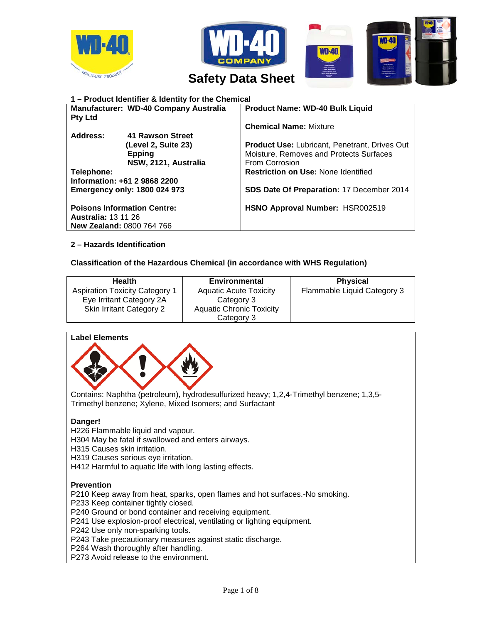





# *IVITILUSE PRODUCT* Safety Data Sheet

| 1 - Product Identifier & Identity for the Chemical |                      |                                                      |  |
|----------------------------------------------------|----------------------|------------------------------------------------------|--|
| Manufacturer: WD-40 Company Australia              |                      | <b>Product Name: WD-40 Bulk Liquid</b>               |  |
| <b>Pty Ltd</b>                                     |                      |                                                      |  |
|                                                    |                      | <b>Chemical Name: Mixture</b>                        |  |
| Address:                                           | 41 Rawson Street     |                                                      |  |
|                                                    | (Level 2, Suite 23)  | <b>Product Use: Lubricant, Penetrant, Drives Out</b> |  |
|                                                    | <b>Epping</b>        | Moisture, Removes and Protects Surfaces              |  |
|                                                    | NSW, 2121, Australia | From Corrosion                                       |  |
| Telephone:                                         |                      | <b>Restriction on Use: None Identified</b>           |  |
| Information: +61 2 9868 2200                       |                      |                                                      |  |
| <b>Emergency only: 1800 024 973</b>                |                      | <b>SDS Date Of Preparation: 17 December 2014</b>     |  |
|                                                    |                      |                                                      |  |
| <b>Poisons Information Centre:</b>                 |                      | HSNO Approval Number: HSR002519                      |  |
| <b>Australia: 13 11 26</b>                         |                      |                                                      |  |
| <b>New Zealand: 0800 764 766</b>                   |                      |                                                      |  |

## **2 – Hazards Identification**

## **Classification of the Hazardous Chemical (in accordance with WHS Regulation)**

| <b>Health</b>                         | <b>Environmental</b>            | <b>Physical</b>             |
|---------------------------------------|---------------------------------|-----------------------------|
| <b>Aspiration Toxicity Category 1</b> | <b>Aquatic Acute Toxicity</b>   | Flammable Liquid Category 3 |
| Eye Irritant Category 2A              | Category 3                      |                             |
| Skin Irritant Category 2              | <b>Aquatic Chronic Toxicity</b> |                             |
|                                       | Category 3                      |                             |

## **Label Elements**



Contains: Naphtha (petroleum), hydrodesulfurized heavy; 1,2,4-Trimethyl benzene; 1,3,5- Trimethyl benzene; Xylene, Mixed Isomers; and Surfactant

## **Danger!**

H226 Flammable liquid and vapour.

H304 May be fatal if swallowed and enters airways.

H315 Causes skin irritation.

H319 Causes serious eye irritation.

H412 Harmful to aquatic life with long lasting effects.

## **Prevention**

P210 Keep away from heat, sparks, open flames and hot surfaces.-No smoking.

P233 Keep container tightly closed.

P240 Ground or bond container and receiving equipment.

P241 Use explosion-proof electrical, ventilating or lighting equipment.

P242 Use only non-sparking tools.

P243 Take precautionary measures against static discharge.

P264 Wash thoroughly after handling.

P273 Avoid release to the environment.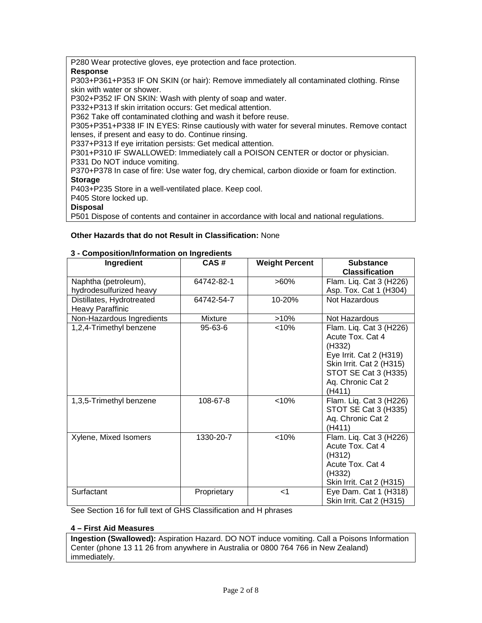P280 Wear protective gloves, eye protection and face protection.

## **Response**

P303+P361+P353 IF ON SKIN (or hair): Remove immediately all contaminated clothing. Rinse skin with water or shower.

P302+P352 IF ON SKIN: Wash with plenty of soap and water.

P332+P313 If skin irritation occurs: Get medical attention.

P362 Take off contaminated clothing and wash it before reuse.

P305+P351+P338 IF IN EYES: Rinse cautiously with water for several minutes. Remove contact lenses, if present and easy to do. Continue rinsing.

P337+P313 If eye irritation persists: Get medical attention.

P301+P310 IF SWALLOWED: Immediately call a POISON CENTER or doctor or physician. P331 Do NOT induce vomiting.

P370+P378 In case of fire: Use water fog, dry chemical, carbon dioxide or foam for extinction. **Storage**

P403+P235 Store in a well-ventilated place. Keep cool.

P405 Store locked up.

**Disposal**

P501 Dispose of contents and container in accordance with local and national regulations.

## **Other Hazards that do not Result in Classification:** None

|  | 3 - Composition/Information on Ingredients |  |
|--|--------------------------------------------|--|
|--|--------------------------------------------|--|

| Ingredient                                      | CAS#          | <b>Weight Percent</b> | <b>Substance</b><br><b>Classification</b>                                                                                                                           |
|-------------------------------------------------|---------------|-----------------------|---------------------------------------------------------------------------------------------------------------------------------------------------------------------|
| Naphtha (petroleum),<br>hydrodesulfurized heavy | 64742-82-1    | $>60\%$               | Flam. Liq. Cat 3 (H226)<br>Asp. Tox. Cat 1 (H304)                                                                                                                   |
| Distillates, Hydrotreated<br>Heavy Paraffinic   | 64742-54-7    | 10-20%                | Not Hazardous                                                                                                                                                       |
| Non-Hazardous Ingredients                       | Mixture       | $>10\%$               | Not Hazardous                                                                                                                                                       |
| 1,2,4-Trimethyl benzene                         | $95 - 63 - 6$ | < 10%                 | Flam. Liq. Cat 3 (H226)<br>Acute Tox, Cat 4<br>(H332)<br>Eye Irrit. Cat 2 (H319)<br>Skin Irrit. Cat 2 (H315)<br>STOT SE Cat 3 (H335)<br>Aq. Chronic Cat 2<br>(H411) |
| 1,3,5-Trimethyl benzene                         | 108-67-8      | < 10%                 | Flam. Liq. Cat 3 (H226)<br>STOT SE Cat 3 (H335)<br>Aq. Chronic Cat 2<br>(H411)                                                                                      |
| Xylene, Mixed Isomers                           | 1330-20-7     | < 10%                 | Flam. Liq. Cat 3 (H226)<br>Acute Tox. Cat 4<br>(H312)<br>Acute Tox. Cat 4<br>(H332)<br>Skin Irrit. Cat 2 (H315)                                                     |
| Surfactant                                      | Proprietary   | $<$ 1                 | Eye Dam. Cat 1 (H318)<br>Skin Irrit. Cat 2 (H315)                                                                                                                   |

See Section 16 for full text of GHS Classification and H phrases

#### **4 – First Aid Measures**

**Ingestion (Swallowed):** Aspiration Hazard. DO NOT induce vomiting. Call a Poisons Information Center (phone 13 11 26 from anywhere in Australia or 0800 764 766 in New Zealand) immediately.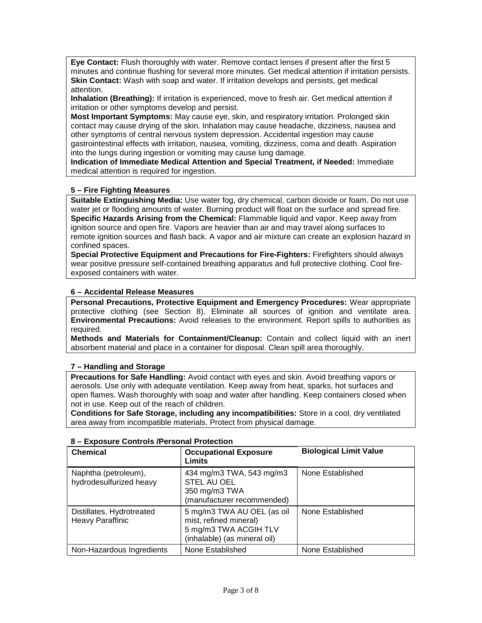**Eye Contact:** Flush thoroughly with water. Remove contact lenses if present after the first 5 minutes and continue flushing for several more minutes. Get medical attention if irritation persists. **Skin Contact:** Wash with soap and water. If irritation develops and persists, get medical attention.

**Inhalation (Breathing):** If irritation is experienced, move to fresh air. Get medical attention if irritation or other symptoms develop and persist.

**Most Important Symptoms:** May cause eye, skin, and respiratory irritation. Prolonged skin contact may cause drying of the skin. Inhalation may cause headache, dizziness, nausea and other symptoms of central nervous system depression. Accidental ingestion may cause gastrointestinal effects with irritation, nausea, vomiting, dizziness, coma and death. Aspiration into the lungs during ingestion or vomiting may cause lung damage.

**Indication of Immediate Medical Attention and Special Treatment, if Needed:** Immediate medical attention is required for ingestion.

## **5 – Fire Fighting Measures**

**Suitable Extinguishing Media:** Use water fog, dry chemical, carbon dioxide or foam. Do not use water jet or flooding amounts of water. Burning product will float on the surface and spread fire. **Specific Hazards Arising from the Chemical:** Flammable liquid and vapor. Keep away from ignition source and open fire. Vapors are heavier than air and may travel along surfaces to remote ignition sources and flash back. A vapor and air mixture can create an explosion hazard in confined spaces.

**Special Protective Equipment and Precautions for Fire-Fighters:** Firefighters should always wear positive pressure self-contained breathing apparatus and full protective clothing. Cool fireexposed containers with water.

## **6 – Accidental Release Measures**

**Personal Precautions, Protective Equipment and Emergency Procedures:** Wear appropriate protective clothing (see Section 8). Eliminate all sources of ignition and ventilate area. **Environmental Precautions:** Avoid releases to the environment. Report spills to authorities as required.

**Methods and Materials for Containment/Cleanup:** Contain and collect liquid with an inert absorbent material and place in a container for disposal. Clean spill area thoroughly.

#### **7 – Handling and Storage**

**Precautions for Safe Handling:** Avoid contact with eyes and skin. Avoid breathing vapors or aerosols. Use only with adequate ventilation. Keep away from heat, sparks, hot surfaces and open flames. Wash thoroughly with soap and water after handling. Keep containers closed when not in use. Keep out of the reach of children.

**Conditions for Safe Storage, including any incompatibilities:** Store in a cool, dry ventilated area away from incompatible materials. Protect from physical damage.

| <b>Chemical</b>                                      | <b>Occupational Exposure</b><br>Limits                                                                        | <b>Biological Limit Value</b> |
|------------------------------------------------------|---------------------------------------------------------------------------------------------------------------|-------------------------------|
| Naphtha (petroleum),<br>hydrodesulfurized heavy      | 434 mg/m3 TWA, 543 mg/m3<br>STEL AU OEL<br>350 mg/m3 TWA<br>(manufacturer recommended)                        | None Established              |
| Distillates, Hydrotreated<br><b>Heavy Paraffinic</b> | 5 mg/m3 TWA AU OEL (as oil<br>mist, refined mineral)<br>5 mg/m3 TWA ACGIH TLV<br>(inhalable) (as mineral oil) | None Established              |
| Non-Hazardous Ingredients                            | None Established                                                                                              | None Established              |

#### **8 – Exposure Controls /Personal Protection**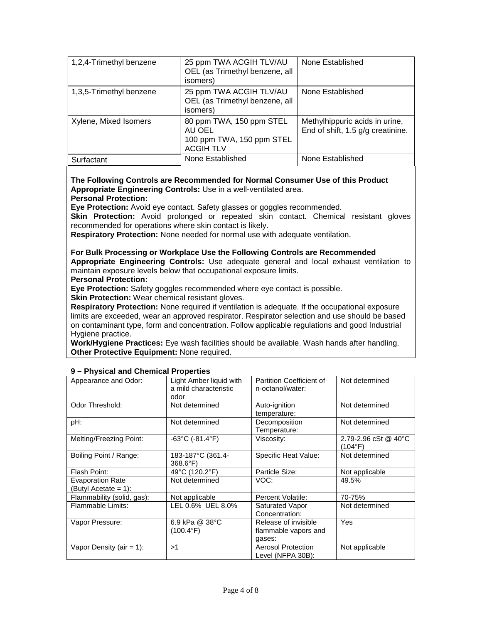| 1,2,4-Trimethyl benzene | 25 ppm TWA ACGIH TLV/AU<br>OEL (as Trimethyl benzene, all<br>isomers)               | None Established                                                    |
|-------------------------|-------------------------------------------------------------------------------------|---------------------------------------------------------------------|
| 1,3,5-Trimethyl benzene | 25 ppm TWA ACGIH TLV/AU<br>OEL (as Trimethyl benzene, all<br>isomers)               | None Established                                                    |
| Xylene, Mixed Isomers   | 80 ppm TWA, 150 ppm STEL<br>AU OEL<br>100 ppm TWA, 150 ppm STEL<br><b>ACGIH TLV</b> | Methylhippuric acids in urine,<br>End of shift, 1.5 g/g creatinine. |
| Surfactant              | None Established                                                                    | None Established                                                    |

#### **The Following Controls are Recommended for Normal Consumer Use of this Product Appropriate Engineering Controls:** Use in a well-ventilated area. **Personal Protection:**

**Eye Protection:** Avoid eye contact. Safety glasses or goggles recommended.

Skin Protection: Avoid prolonged or repeated skin contact. Chemical resistant gloves recommended for operations where skin contact is likely.

**Respiratory Protection:** None needed for normal use with adequate ventilation.

**For Bulk Processing or Workplace Use the Following Controls are Recommended Appropriate Engineering Controls:** Use adequate general and local exhaust ventilation to maintain exposure levels below that occupational exposure limits.

**Personal Protection:** 

**Eye Protection:** Safety goggles recommended where eye contact is possible.

**Skin Protection:** Wear chemical resistant gloves.

**Respiratory Protection:** None required if ventilation is adequate. If the occupational exposure limits are exceeded, wear an approved respirator. Respirator selection and use should be based on contaminant type, form and concentration. Follow applicable regulations and good Industrial Hygiene practice.

**Work/Hygiene Practices:** Eye wash facilities should be available. Wash hands after handling. **Other Protective Equipment:** None required.

| Appearance and Odor:                            | Light Amber liquid with<br>a mild characteristic<br>odor | Partition Coefficient of<br>n-octanol/water:           | Not determined                  |
|-------------------------------------------------|----------------------------------------------------------|--------------------------------------------------------|---------------------------------|
| Odor Threshold:                                 | Not determined                                           | Auto-ignition<br>temperature:                          | Not determined                  |
| pH:                                             | Not determined                                           | Decomposition<br>Temperature:                          | Not determined                  |
| Melting/Freezing Point:                         | -63°C (-81.4°F)                                          | Viscosity:                                             | 2.79-2.96 cSt @ 40°C<br>(104°F) |
| Boiling Point / Range:                          | 183-187°C (361.4-<br>368.6°F)                            | Specific Heat Value:                                   | Not determined                  |
| Flash Point:                                    | 49°C (120.2°F)                                           | Particle Size:                                         | Not applicable                  |
| <b>Evaporation Rate</b><br>(Butyl Acetate = 1): | Not determined                                           | VOC:                                                   | 49.5%                           |
| Flammability (solid, gas):                      | Not applicable                                           | Percent Volatile:                                      | 70-75%                          |
| Flammable Limits:                               | LEL 0.6% UEL 8.0%                                        | Saturated Vapor<br>Concentration:                      | Not determined                  |
| Vapor Pressure:                                 | 6.9 kPa @ 38°C<br>(100.4°F)                              | Release of invisible<br>flammable vapors and<br>gases: | Yes                             |
| Vapor Density (air = 1):                        | >1                                                       | <b>Aerosol Protection</b><br>Level (NFPA 30B):         | Not applicable                  |

#### **9 – Physical and Chemical Properties**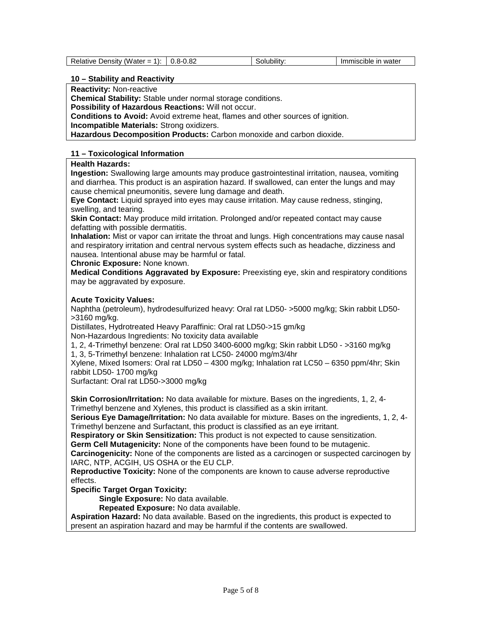#### **10 – Stability and Reactivity**

**Reactivity:** Non-reactive

**Chemical Stability:** Stable under normal storage conditions.

**Possibility of Hazardous Reactions:** Will not occur.

**Conditions to Avoid:** Avoid extreme heat, flames and other sources of ignition.

**Incompatible Materials:** Strong oxidizers.

**Hazardous Decomposition Products:** Carbon monoxide and carbon dioxide.

## **11 – Toxicological Information**

## **Health Hazards:**

**Ingestion:** Swallowing large amounts may produce gastrointestinal irritation, nausea, vomiting and diarrhea. This product is an aspiration hazard. If swallowed, can enter the lungs and may cause chemical pneumonitis, severe lung damage and death.

**Eye Contact:** Liquid sprayed into eyes may cause irritation. May cause redness, stinging, swelling, and tearing.

**Skin Contact:** May produce mild irritation. Prolonged and/or repeated contact may cause defatting with possible dermatitis.

**Inhalation:** Mist or vapor can irritate the throat and lungs. High concentrations may cause nasal and respiratory irritation and central nervous system effects such as headache, dizziness and nausea. Intentional abuse may be harmful or fatal.

**Chronic Exposure:** None known.

**Medical Conditions Aggravated by Exposure:** Preexisting eye, skin and respiratory conditions may be aggravated by exposure.

## **Acute Toxicity Values:**

Naphtha (petroleum), hydrodesulfurized heavy: Oral rat LD50- >5000 mg/kg; Skin rabbit LD50- >3160 mg/kg.

Distillates, Hydrotreated Heavy Paraffinic: Oral rat LD50->15 gm/kg

Non-Hazardous Ingredients: No toxicity data available

1, 2, 4-Trimethyl benzene: Oral rat LD50 3400-6000 mg/kg; Skin rabbit LD50 - >3160 mg/kg

1, 3, 5-Trimethyl benzene: Inhalation rat LC50- 24000 mg/m3/4hr

Xylene, Mixed Isomers: Oral rat LD50 – 4300 mg/kg; Inhalation rat LC50 – 6350 ppm/4hr; Skin rabbit LD50- 1700 mg/kg

Surfactant: Oral rat LD50->3000 mg/kg

**Skin Corrosion/Irritation:** No data available for mixture. Bases on the ingredients, 1, 2, 4- Trimethyl benzene and Xylenes, this product is classified as a skin irritant.

**Serious Eye Damage/Irritation:** No data available for mixture. Bases on the ingredients, 1, 2, 4-

Trimethyl benzene and Surfactant, this product is classified as an eye irritant.

**Respiratory or Skin Sensitization:** This product is not expected to cause sensitization.

**Germ Cell Mutagenicity:** None of the components have been found to be mutagenic.

**Carcinogenicity:** None of the components are listed as a carcinogen or suspected carcinogen by IARC, NTP, ACGIH, US OSHA or the EU CLP.

**Reproductive Toxicity:** None of the components are known to cause adverse reproductive effects.

**Specific Target Organ Toxicity:**

**Single Exposure:** No data available.

**Repeated Exposure:** No data available.

**Aspiration Hazard:** No data available. Based on the ingredients, this product is expected to present an aspiration hazard and may be harmful if the contents are swallowed.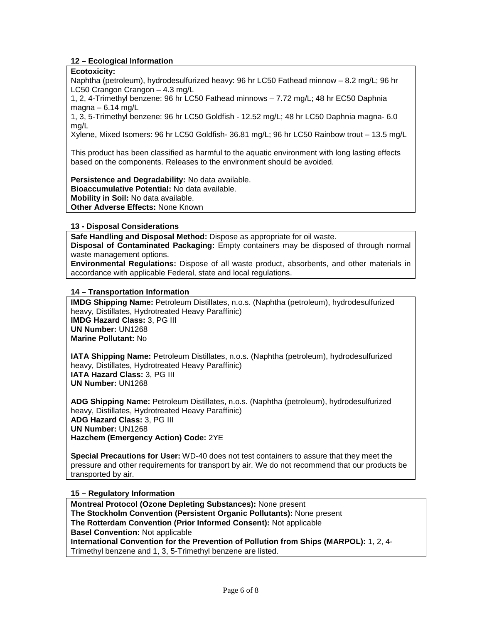## **12 – Ecological Information**

## **Ecotoxicity:**

Naphtha (petroleum), hydrodesulfurized heavy: 96 hr LC50 Fathead minnow – 8.2 mg/L; 96 hr LC50 Crangon Crangon – 4.3 mg/L

1, 2, 4-Trimethyl benzene: 96 hr LC50 Fathead minnows – 7.72 mg/L; 48 hr EC50 Daphnia  $magna - 6.14$  mg/L

1, 3, 5-Trimethyl benzene: 96 hr LC50 Goldfish - 12.52 mg/L; 48 hr LC50 Daphnia magna- 6.0 mg/L

Xylene, Mixed Isomers: 96 hr LC50 Goldfish- 36.81 mg/L; 96 hr LC50 Rainbow trout – 13.5 mg/L

This product has been classified as harmful to the aquatic environment with long lasting effects based on the components. Releases to the environment should be avoided.

**Persistence and Degradability:** No data available. **Bioaccumulative Potential:** No data available. **Mobility in Soil:** No data available.

**Other Adverse Effects:** None Known

## **13 - Disposal Considerations**

**Safe Handling and Disposal Method:** Dispose as appropriate for oil waste.

**Disposal of Contaminated Packaging:** Empty containers may be disposed of through normal waste management options.

**Environmental Regulations:** Dispose of all waste product, absorbents, and other materials in accordance with applicable Federal, state and local regulations.

## **14 – Transportation Information**

**IMDG Shipping Name:** Petroleum Distillates, n.o.s. (Naphtha (petroleum), hydrodesulfurized heavy, Distillates, Hydrotreated Heavy Paraffinic) **IMDG Hazard Class:** 3, PG III **UN Number:** UN1268 **Marine Pollutant:** No

**IATA Shipping Name:** Petroleum Distillates, n.o.s. (Naphtha (petroleum), hydrodesulfurized heavy, Distillates, Hydrotreated Heavy Paraffinic) **IATA Hazard Class:** 3, PG III **UN Number:** UN1268

**ADG Shipping Name:** Petroleum Distillates, n.o.s. (Naphtha (petroleum), hydrodesulfurized heavy, Distillates, Hydrotreated Heavy Paraffinic) **ADG Hazard Class:** 3, PG III **UN Number:** UN1268 **Hazchem (Emergency Action) Code:** 2YE

**Special Precautions for User:** WD-40 does not test containers to assure that they meet the pressure and other requirements for transport by air. We do not recommend that our products be transported by air.

## **15 – Regulatory Information**

**Montreal Protocol (Ozone Depleting Substances):** None present **The Stockholm Convention (Persistent Organic Pollutants):** None present **The Rotterdam Convention (Prior Informed Consent):** Not applicable **Basel Convention:** Not applicable **International Convention for the Prevention of Pollution from Ships (MARPOL):** 1, 2, 4- Trimethyl benzene and 1, 3, 5-Trimethyl benzene are listed.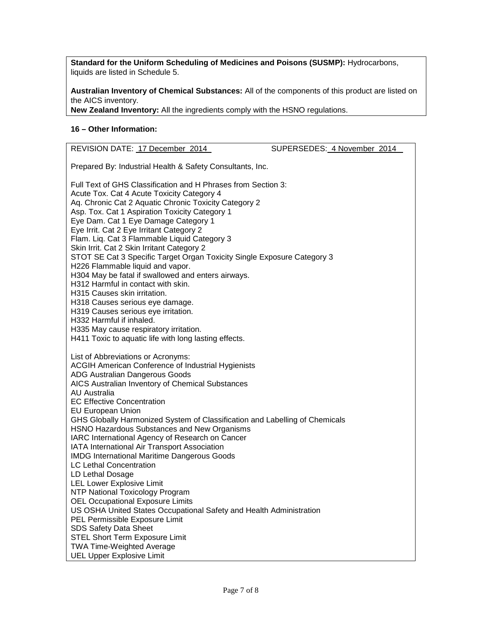**Standard for the Uniform Scheduling of Medicines and Poisons (SUSMP):** Hydrocarbons, liquids are listed in Schedule 5.

**Australian Inventory of Chemical Substances:** All of the components of this product are listed on the AICS inventory.

**New Zealand Inventory:** All the ingredients comply with the HSNO regulations.

## **16 – Other Information:**

| REVISION DATE: 17 December 2014                                                                                                                                                                                                                                                                                                                                                                                                                                                                                                                                                                                                                                                                                                                                                                                                                                                                                                                                                                                                                                 | SUPERSEDES: 4 November 2014 |  |  |
|-----------------------------------------------------------------------------------------------------------------------------------------------------------------------------------------------------------------------------------------------------------------------------------------------------------------------------------------------------------------------------------------------------------------------------------------------------------------------------------------------------------------------------------------------------------------------------------------------------------------------------------------------------------------------------------------------------------------------------------------------------------------------------------------------------------------------------------------------------------------------------------------------------------------------------------------------------------------------------------------------------------------------------------------------------------------|-----------------------------|--|--|
| Prepared By: Industrial Health & Safety Consultants, Inc.                                                                                                                                                                                                                                                                                                                                                                                                                                                                                                                                                                                                                                                                                                                                                                                                                                                                                                                                                                                                       |                             |  |  |
| Full Text of GHS Classification and H Phrases from Section 3:<br>Acute Tox. Cat 4 Acute Toxicity Category 4<br>Aq. Chronic Cat 2 Aquatic Chronic Toxicity Category 2<br>Asp. Tox. Cat 1 Aspiration Toxicity Category 1<br>Eye Dam. Cat 1 Eye Damage Category 1<br>Eye Irrit. Cat 2 Eye Irritant Category 2<br>Flam. Liq. Cat 3 Flammable Liquid Category 3<br>Skin Irrit. Cat 2 Skin Irritant Category 2<br>STOT SE Cat 3 Specific Target Organ Toxicity Single Exposure Category 3<br>H226 Flammable liquid and vapor.<br>H304 May be fatal if swallowed and enters airways.<br>H312 Harmful in contact with skin.<br>H315 Causes skin irritation.<br>H318 Causes serious eye damage.<br>H319 Causes serious eye irritation.<br>H332 Harmful if inhaled.<br>H335 May cause respiratory irritation.                                                                                                                                                                                                                                                             |                             |  |  |
| H411 Toxic to aquatic life with long lasting effects.<br>List of Abbreviations or Acronyms:<br><b>ACGIH American Conference of Industrial Hygienists</b><br>ADG Australian Dangerous Goods<br>AICS Australian Inventory of Chemical Substances<br><b>AU Australia</b><br><b>EC Effective Concentration</b><br><b>EU European Union</b><br>GHS Globally Harmonized System of Classification and Labelling of Chemicals<br>HSNO Hazardous Substances and New Organisms<br>IARC International Agency of Research on Cancer<br>IATA International Air Transport Association<br><b>IMDG International Maritime Dangerous Goods</b><br><b>LC Lethal Concentration</b><br>LD Lethal Dosage<br><b>LEL Lower Explosive Limit</b><br><b>NTP National Toxicology Program</b><br><b>OEL Occupational Exposure Limits</b><br>US OSHA United States Occupational Safety and Health Administration<br>PEL Permissible Exposure Limit<br>SDS Safety Data Sheet<br><b>STEL Short Term Exposure Limit</b><br><b>TWA Time-Weighted Average</b><br><b>UEL Upper Explosive Limit</b> |                             |  |  |